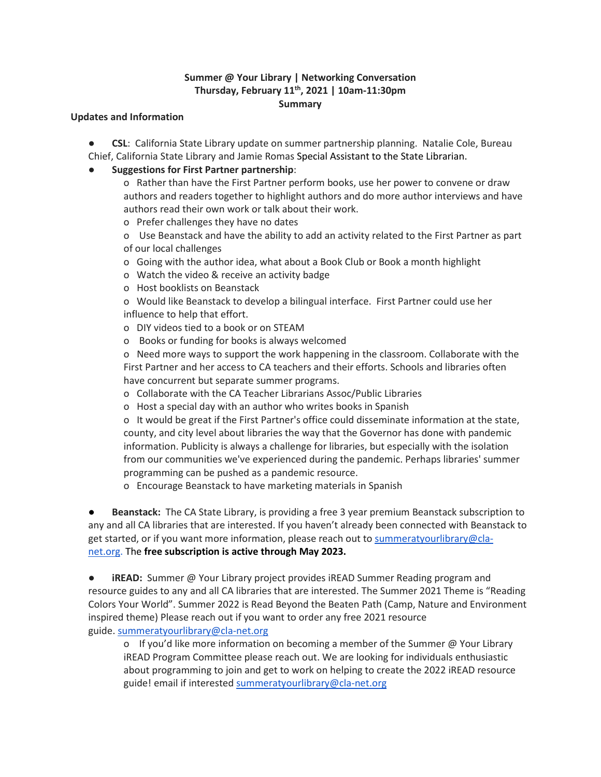### **Summer @ Your Library | Networking Conversation Thursday, February 11th, 2021 | 10am-11:30pm Summary**

#### **Updates and Information**

● **CSL**: California State Library update on summer partnership planning. Natalie Cole, Bureau Chief, California State Library and Jamie Romas Special Assistant to the State Librarian.

### ● **Suggestions for First Partner partnership**:

- o Rather than have the First Partner perform books, use her power to convene or draw authors and readers together to highlight authors and do more author interviews and have authors read their own work or talk about their work.
- o Prefer challenges they have no dates
- o Use Beanstack and have the ability to add an activity related to the First Partner as part of our local challenges
- o Going with the author idea, what about a Book Club or Book a month highlight
- o Watch the video & receive an activity badge
- o Host booklists on Beanstack
- o Would like Beanstack to develop a bilingual interface. First Partner could use her influence to help that effort.
- o DIY videos tied to a book or on STEAM
- o Books or funding for books is always welcomed

o Need more ways to support the work happening in the classroom. Collaborate with the First Partner and her access to CA teachers and their efforts. Schools and libraries often have concurrent but separate summer programs.

- o Collaborate with the CA Teacher Librarians Assoc/Public Libraries
- o Host a special day with an author who writes books in Spanish

o It would be great if the First Partner's office could disseminate information at the state, county, and city level about libraries the way that the Governor has done with pandemic information. Publicity is always a challenge for libraries, but especially with the isolation from our communities we've experienced during the pandemic. Perhaps libraries' summer programming can be pushed as a pandemic resource.

o Encourage Beanstack to have marketing materials in Spanish

Beanstack: The CA State Library, is providing a free 3 year premium Beanstack subscription to any and all CA libraries that are interested. If you haven't already been connected with Beanstack to get started, or if you want more information, please reach out to [summeratyourlibrary@cla](mailto:summeratyourlibrary@cla-net.org)[net.org.](mailto:summeratyourlibrary@cla-net.org) The **free subscription is active through May 2023.**

● **iREAD:** Summer @ Your Library project provides iREAD Summer Reading program and resource guides to any and all CA libraries that are interested. The Summer 2021 Theme is "Reading Colors Your World". Summer 2022 is Read Beyond the Beaten Path (Camp, Nature and Environment inspired theme) Please reach out if you want to order any free 2021 resource guide. [summeratyourlibrary@cla-net.org](mailto:summeratyourlibrary@cla-net.org)

o If you'd like more information on becoming a member of the Summer  $@$  Your Library iREAD Program Committee please reach out. We are looking for individuals enthusiastic about programming to join and get to work on helping to create the 2022 iREAD resource guide! email if interested [summeratyourlibrary@cla-net.org](mailto:summeratyourlibrary@cla-net.org)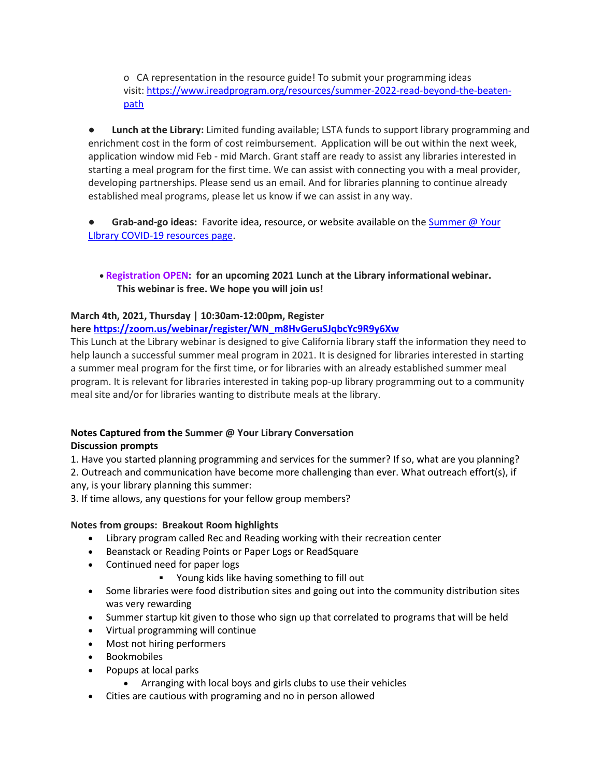o CA representation in the resource guide! To submit your programming ideas visit: [https://www.ireadprogram.org/resources/summer-2022-read-beyond-the-beaten](https://www.ireadprogram.org/resources/summer-2022-read-beyond-the-beaten-path)[path](https://www.ireadprogram.org/resources/summer-2022-read-beyond-the-beaten-path)

● **Lunch at the Library:** Limited funding available; LSTA funds to support library programming and enrichment cost in the form of cost reimbursement. Application will be out within the next week, application window mid Feb - mid March. Grant staff are ready to assist any libraries interested in starting a meal program for the first time. We can assist with connecting you with a meal provider, developing partnerships. Please send us an email. And for libraries planning to continue already established meal programs, please let us know if we can assist in any way.

● **Grab-and-go ideas:** Favorite idea, resource, or website available on the [Summer @ Your](https://calchallenge.org/resources/summer-your-library-covid-19-resources/)  [LIbrary COVID-19 resources page.](https://calchallenge.org/resources/summer-your-library-covid-19-resources/)

• **Registration OPEN: for an upcoming 2021 Lunch at the Library informational webinar. This webinar is free. We hope you will join us!**

## **March 4th, 2021, Thursday | 10:30am-12:00pm, Register**

**here [https://zoom.us/webinar/register/WN\\_m8HvGeruSJqbcYc9R9y6Xw](https://zoom.us/webinar/register/WN_m8HvGeruSJqbcYc9R9y6Xw)**

This Lunch at the Library webinar is designed to give California library staff the information they need to help launch a successful summer meal program in 2021. It is designed for libraries interested in starting a summer meal program for the first time, or for libraries with an already established summer meal program. It is relevant for libraries interested in taking pop-up library programming out to a community meal site and/or for libraries wanting to distribute meals at the library.

# **Notes Captured from the Summer @ Your Library Conversation**

### **Discussion prompts**

1. Have you started planning programming and services for the summer? If so, what are you planning? 2. Outreach and communication have become more challenging than ever. What outreach effort(s), if any, is your library planning this summer:

3. If time allows, any questions for your fellow group members?

### **Notes from groups: Breakout Room highlights**

- Library program called Rec and Reading working with their recreation center
- Beanstack or Reading Points or Paper Logs or ReadSquare
- Continued need for paper logs
	- Young kids like having something to fill out
- Some libraries were food distribution sites and going out into the community distribution sites was very rewarding
- Summer startup kit given to those who sign up that correlated to programs that will be held
- Virtual programming will continue
- Most not hiring performers
- Bookmobiles
- Popups at local parks
	- Arranging with local boys and girls clubs to use their vehicles
- Cities are cautious with programing and no in person allowed